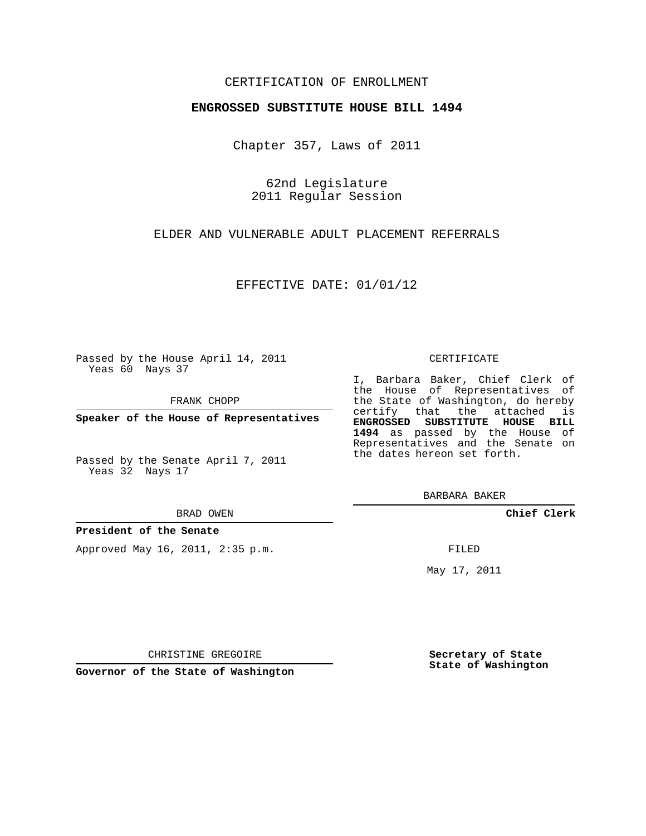## CERTIFICATION OF ENROLLMENT

## **ENGROSSED SUBSTITUTE HOUSE BILL 1494**

Chapter 357, Laws of 2011

62nd Legislature 2011 Regular Session

ELDER AND VULNERABLE ADULT PLACEMENT REFERRALS

EFFECTIVE DATE: 01/01/12

Passed by the House April 14, 2011 Yeas 60 Nays 37

FRANK CHOPP

**Speaker of the House of Representatives**

Passed by the Senate April 7, 2011 Yeas 32 Nays 17

#### BRAD OWEN

**President of the Senate**

Approved May 16, 2011, 2:35 p.m.

### CERTIFICATE

I, Barbara Baker, Chief Clerk of the House of Representatives of the State of Washington, do hereby certify that the attached is **ENGROSSED SUBSTITUTE HOUSE BILL 1494** as passed by the House of Representatives and the Senate on the dates hereon set forth.

BARBARA BAKER

**Chief Clerk**

FILED

May 17, 2011

**Secretary of State State of Washington**

CHRISTINE GREGOIRE

**Governor of the State of Washington**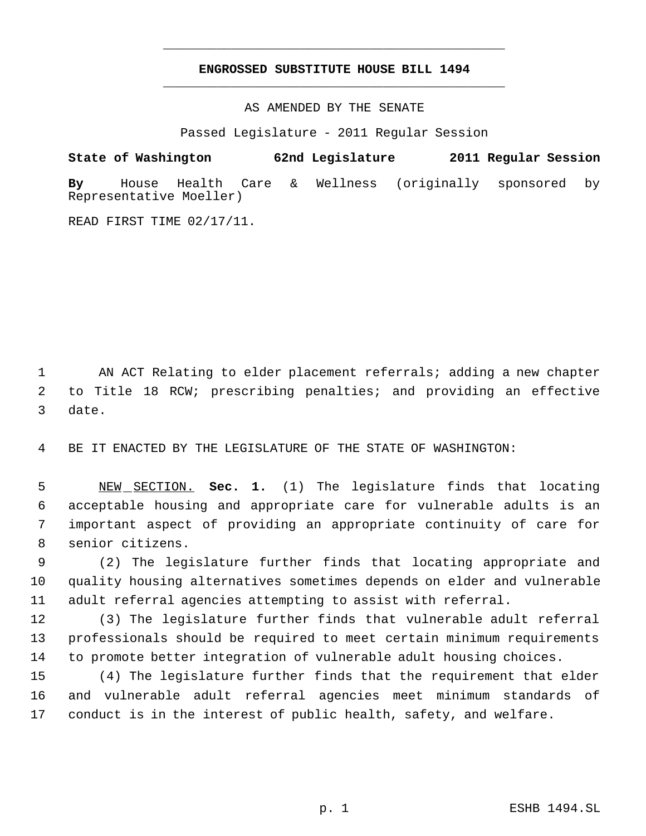# **ENGROSSED SUBSTITUTE HOUSE BILL 1494** \_\_\_\_\_\_\_\_\_\_\_\_\_\_\_\_\_\_\_\_\_\_\_\_\_\_\_\_\_\_\_\_\_\_\_\_\_\_\_\_\_\_\_\_\_

\_\_\_\_\_\_\_\_\_\_\_\_\_\_\_\_\_\_\_\_\_\_\_\_\_\_\_\_\_\_\_\_\_\_\_\_\_\_\_\_\_\_\_\_\_

AS AMENDED BY THE SENATE

Passed Legislature - 2011 Regular Session

**State of Washington 62nd Legislature 2011 Regular Session By** House Health Care & Wellness (originally sponsored by Representative Moeller)

READ FIRST TIME 02/17/11.

 AN ACT Relating to elder placement referrals; adding a new chapter to Title 18 RCW; prescribing penalties; and providing an effective date.

BE IT ENACTED BY THE LEGISLATURE OF THE STATE OF WASHINGTON:

 NEW SECTION. **Sec. 1.** (1) The legislature finds that locating acceptable housing and appropriate care for vulnerable adults is an important aspect of providing an appropriate continuity of care for senior citizens.

 (2) The legislature further finds that locating appropriate and quality housing alternatives sometimes depends on elder and vulnerable adult referral agencies attempting to assist with referral.

 (3) The legislature further finds that vulnerable adult referral professionals should be required to meet certain minimum requirements to promote better integration of vulnerable adult housing choices.

 (4) The legislature further finds that the requirement that elder and vulnerable adult referral agencies meet minimum standards of conduct is in the interest of public health, safety, and welfare.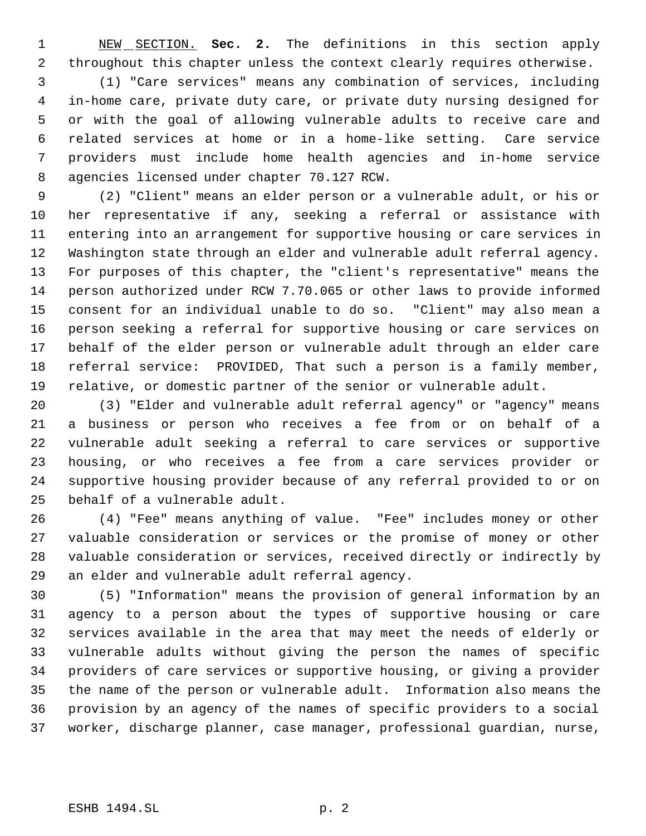NEW SECTION. **Sec. 2.** The definitions in this section apply throughout this chapter unless the context clearly requires otherwise.

 (1) "Care services" means any combination of services, including in-home care, private duty care, or private duty nursing designed for or with the goal of allowing vulnerable adults to receive care and related services at home or in a home-like setting. Care service providers must include home health agencies and in-home service agencies licensed under chapter 70.127 RCW.

 (2) "Client" means an elder person or a vulnerable adult, or his or her representative if any, seeking a referral or assistance with entering into an arrangement for supportive housing or care services in Washington state through an elder and vulnerable adult referral agency. For purposes of this chapter, the "client's representative" means the person authorized under RCW 7.70.065 or other laws to provide informed consent for an individual unable to do so. "Client" may also mean a person seeking a referral for supportive housing or care services on behalf of the elder person or vulnerable adult through an elder care referral service: PROVIDED, That such a person is a family member, relative, or domestic partner of the senior or vulnerable adult.

 (3) "Elder and vulnerable adult referral agency" or "agency" means a business or person who receives a fee from or on behalf of a vulnerable adult seeking a referral to care services or supportive housing, or who receives a fee from a care services provider or supportive housing provider because of any referral provided to or on behalf of a vulnerable adult.

 (4) "Fee" means anything of value. "Fee" includes money or other valuable consideration or services or the promise of money or other valuable consideration or services, received directly or indirectly by an elder and vulnerable adult referral agency.

 (5) "Information" means the provision of general information by an agency to a person about the types of supportive housing or care services available in the area that may meet the needs of elderly or vulnerable adults without giving the person the names of specific providers of care services or supportive housing, or giving a provider the name of the person or vulnerable adult. Information also means the provision by an agency of the names of specific providers to a social worker, discharge planner, case manager, professional guardian, nurse,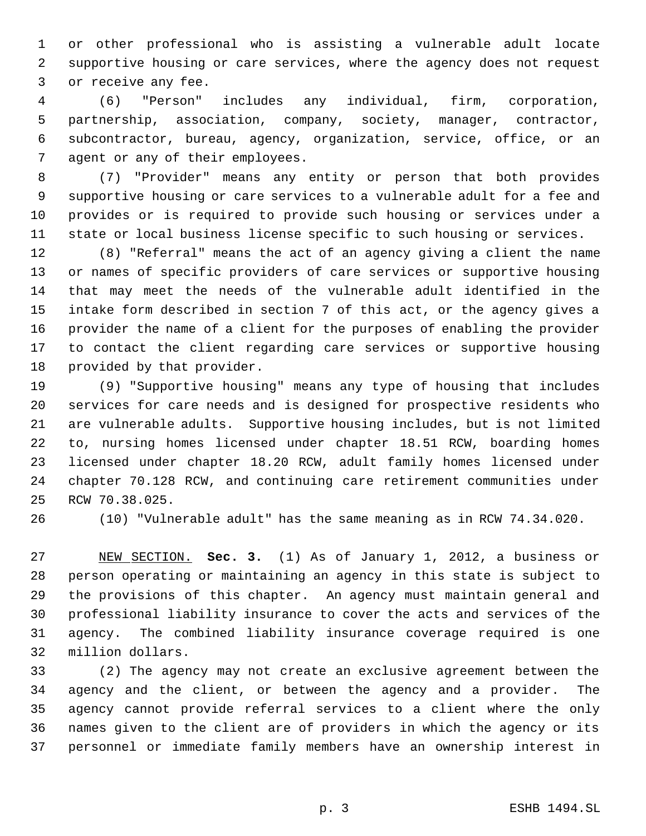or other professional who is assisting a vulnerable adult locate supportive housing or care services, where the agency does not request or receive any fee.

 (6) "Person" includes any individual, firm, corporation, partnership, association, company, society, manager, contractor, subcontractor, bureau, agency, organization, service, office, or an agent or any of their employees.

 (7) "Provider" means any entity or person that both provides supportive housing or care services to a vulnerable adult for a fee and provides or is required to provide such housing or services under a state or local business license specific to such housing or services.

 (8) "Referral" means the act of an agency giving a client the name or names of specific providers of care services or supportive housing that may meet the needs of the vulnerable adult identified in the intake form described in section 7 of this act, or the agency gives a provider the name of a client for the purposes of enabling the provider to contact the client regarding care services or supportive housing provided by that provider.

 (9) "Supportive housing" means any type of housing that includes services for care needs and is designed for prospective residents who are vulnerable adults. Supportive housing includes, but is not limited to, nursing homes licensed under chapter 18.51 RCW, boarding homes licensed under chapter 18.20 RCW, adult family homes licensed under chapter 70.128 RCW, and continuing care retirement communities under RCW 70.38.025.

(10) "Vulnerable adult" has the same meaning as in RCW 74.34.020.

 NEW SECTION. **Sec. 3.** (1) As of January 1, 2012, a business or person operating or maintaining an agency in this state is subject to the provisions of this chapter. An agency must maintain general and professional liability insurance to cover the acts and services of the agency. The combined liability insurance coverage required is one million dollars.

 (2) The agency may not create an exclusive agreement between the agency and the client, or between the agency and a provider. The agency cannot provide referral services to a client where the only names given to the client are of providers in which the agency or its personnel or immediate family members have an ownership interest in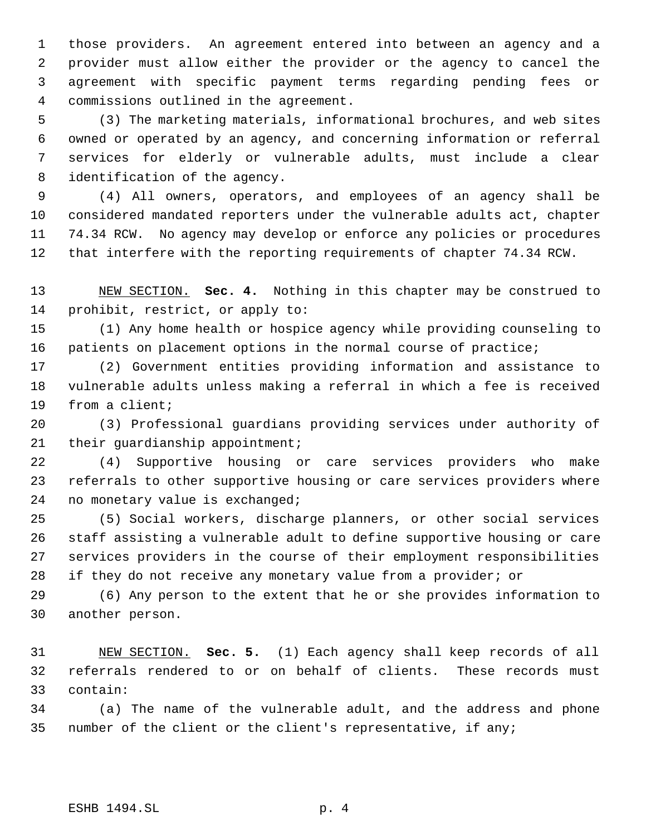those providers. An agreement entered into between an agency and a provider must allow either the provider or the agency to cancel the agreement with specific payment terms regarding pending fees or commissions outlined in the agreement.

 (3) The marketing materials, informational brochures, and web sites owned or operated by an agency, and concerning information or referral services for elderly or vulnerable adults, must include a clear identification of the agency.

 (4) All owners, operators, and employees of an agency shall be considered mandated reporters under the vulnerable adults act, chapter 74.34 RCW. No agency may develop or enforce any policies or procedures that interfere with the reporting requirements of chapter 74.34 RCW.

 NEW SECTION. **Sec. 4.** Nothing in this chapter may be construed to prohibit, restrict, or apply to:

 (1) Any home health or hospice agency while providing counseling to patients on placement options in the normal course of practice;

 (2) Government entities providing information and assistance to vulnerable adults unless making a referral in which a fee is received from a client;

 (3) Professional guardians providing services under authority of 21 their guardianship appointment;

 (4) Supportive housing or care services providers who make referrals to other supportive housing or care services providers where no monetary value is exchanged;

 (5) Social workers, discharge planners, or other social services staff assisting a vulnerable adult to define supportive housing or care services providers in the course of their employment responsibilities 28 if they do not receive any monetary value from a provider; or

 (6) Any person to the extent that he or she provides information to another person.

 NEW SECTION. **Sec. 5.** (1) Each agency shall keep records of all referrals rendered to or on behalf of clients. These records must contain:

 (a) The name of the vulnerable adult, and the address and phone number of the client or the client's representative, if any;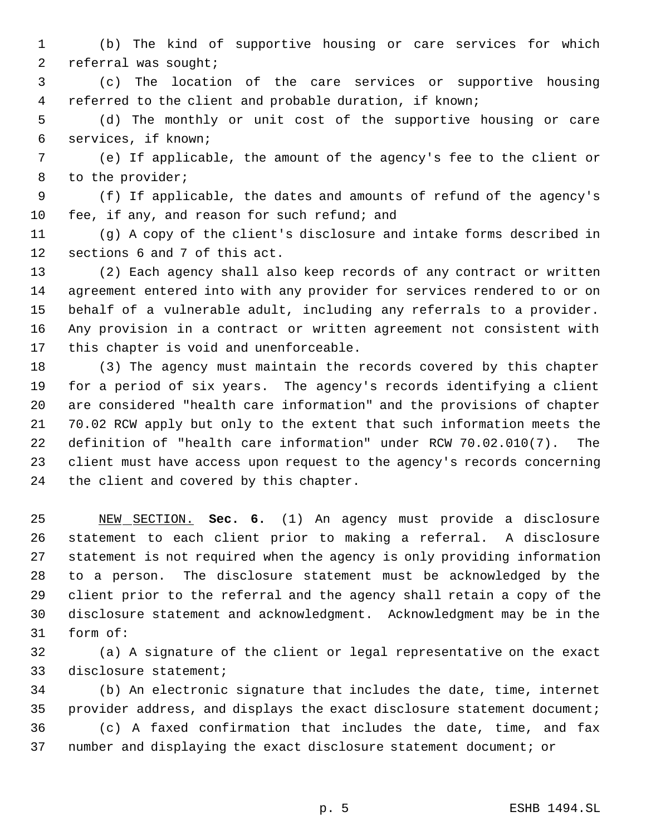(b) The kind of supportive housing or care services for which referral was sought;

 (c) The location of the care services or supportive housing referred to the client and probable duration, if known;

 (d) The monthly or unit cost of the supportive housing or care services, if known;

 (e) If applicable, the amount of the agency's fee to the client or to the provider;

 (f) If applicable, the dates and amounts of refund of the agency's fee, if any, and reason for such refund; and

 (g) A copy of the client's disclosure and intake forms described in sections 6 and 7 of this act.

 (2) Each agency shall also keep records of any contract or written agreement entered into with any provider for services rendered to or on behalf of a vulnerable adult, including any referrals to a provider. Any provision in a contract or written agreement not consistent with this chapter is void and unenforceable.

 (3) The agency must maintain the records covered by this chapter for a period of six years. The agency's records identifying a client are considered "health care information" and the provisions of chapter 70.02 RCW apply but only to the extent that such information meets the definition of "health care information" under RCW 70.02.010(7). The client must have access upon request to the agency's records concerning the client and covered by this chapter.

 NEW SECTION. **Sec. 6.** (1) An agency must provide a disclosure statement to each client prior to making a referral. A disclosure statement is not required when the agency is only providing information to a person. The disclosure statement must be acknowledged by the client prior to the referral and the agency shall retain a copy of the disclosure statement and acknowledgment. Acknowledgment may be in the form of:

 (a) A signature of the client or legal representative on the exact disclosure statement;

 (b) An electronic signature that includes the date, time, internet provider address, and displays the exact disclosure statement document; (c) A faxed confirmation that includes the date, time, and fax number and displaying the exact disclosure statement document; or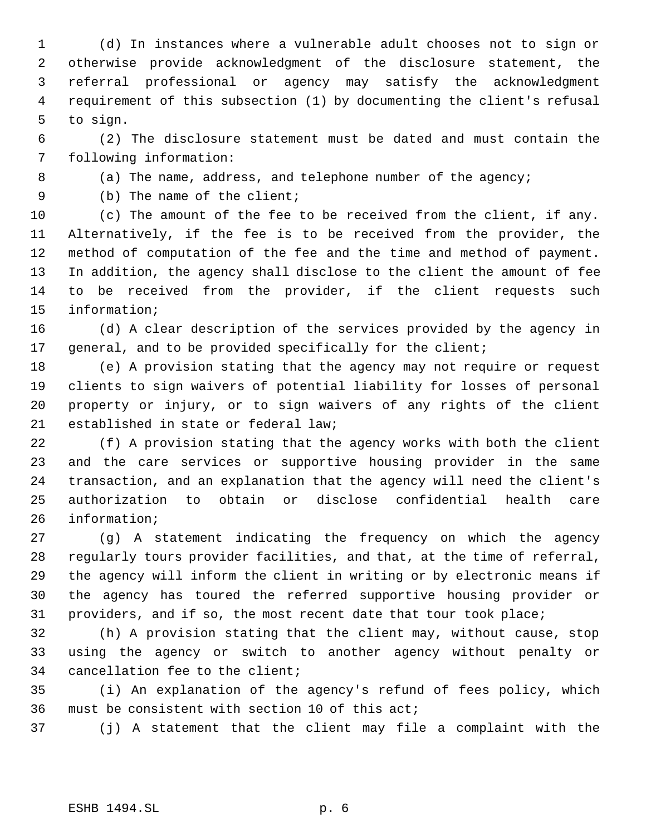(d) In instances where a vulnerable adult chooses not to sign or otherwise provide acknowledgment of the disclosure statement, the referral professional or agency may satisfy the acknowledgment requirement of this subsection (1) by documenting the client's refusal to sign.

 (2) The disclosure statement must be dated and must contain the following information:

8 (a) The name, address, and telephone number of the agency;

(b) The name of the client;

 (c) The amount of the fee to be received from the client, if any. Alternatively, if the fee is to be received from the provider, the method of computation of the fee and the time and method of payment. In addition, the agency shall disclose to the client the amount of fee to be received from the provider, if the client requests such information;

 (d) A clear description of the services provided by the agency in general, and to be provided specifically for the client;

 (e) A provision stating that the agency may not require or request clients to sign waivers of potential liability for losses of personal property or injury, or to sign waivers of any rights of the client established in state or federal law;

 (f) A provision stating that the agency works with both the client and the care services or supportive housing provider in the same transaction, and an explanation that the agency will need the client's authorization to obtain or disclose confidential health care information;

 (g) A statement indicating the frequency on which the agency regularly tours provider facilities, and that, at the time of referral, the agency will inform the client in writing or by electronic means if the agency has toured the referred supportive housing provider or providers, and if so, the most recent date that tour took place;

 (h) A provision stating that the client may, without cause, stop using the agency or switch to another agency without penalty or cancellation fee to the client;

 (i) An explanation of the agency's refund of fees policy, which must be consistent with section 10 of this act;

(j) A statement that the client may file a complaint with the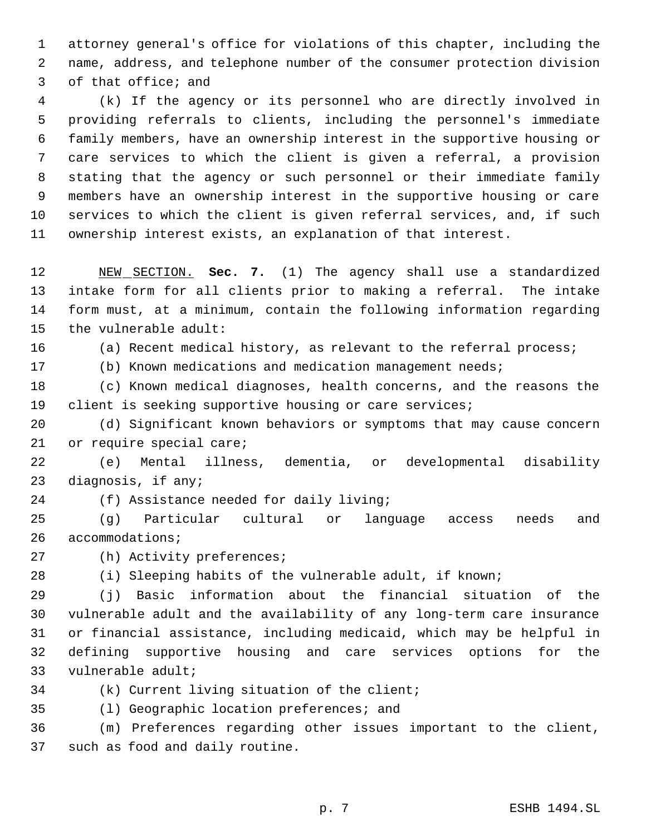attorney general's office for violations of this chapter, including the name, address, and telephone number of the consumer protection division of that office; and

 (k) If the agency or its personnel who are directly involved in providing referrals to clients, including the personnel's immediate family members, have an ownership interest in the supportive housing or care services to which the client is given a referral, a provision stating that the agency or such personnel or their immediate family members have an ownership interest in the supportive housing or care services to which the client is given referral services, and, if such ownership interest exists, an explanation of that interest.

 NEW SECTION. **Sec. 7.** (1) The agency shall use a standardized intake form for all clients prior to making a referral. The intake form must, at a minimum, contain the following information regarding the vulnerable adult:

(a) Recent medical history, as relevant to the referral process;

(b) Known medications and medication management needs;

 (c) Known medical diagnoses, health concerns, and the reasons the client is seeking supportive housing or care services;

 (d) Significant known behaviors or symptoms that may cause concern or require special care;

 (e) Mental illness, dementia, or developmental disability diagnosis, if any;

(f) Assistance needed for daily living;

 (g) Particular cultural or language access needs and accommodations;

(h) Activity preferences;

(i) Sleeping habits of the vulnerable adult, if known;

 (j) Basic information about the financial situation of the vulnerable adult and the availability of any long-term care insurance or financial assistance, including medicaid, which may be helpful in defining supportive housing and care services options for the vulnerable adult;

(k) Current living situation of the client;

(l) Geographic location preferences; and

 (m) Preferences regarding other issues important to the client, such as food and daily routine.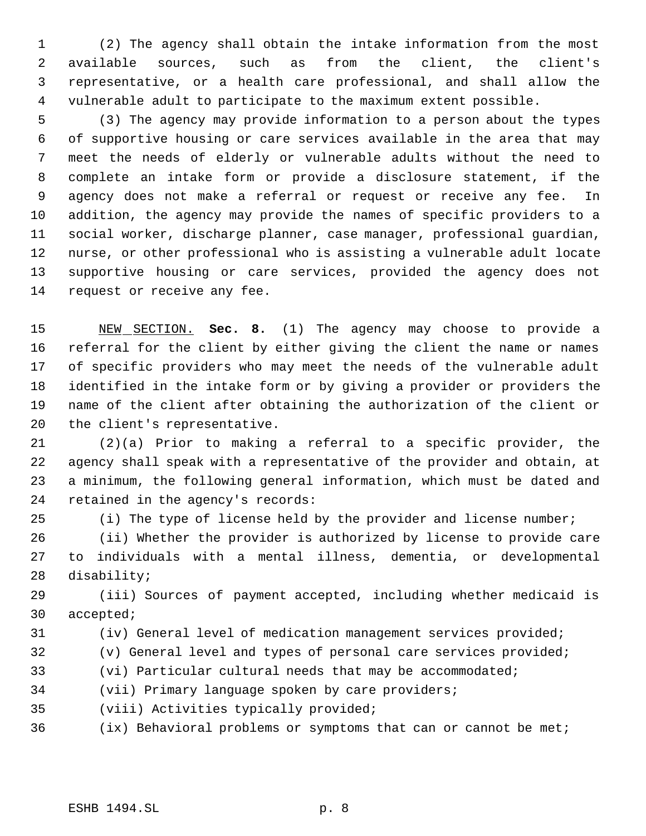(2) The agency shall obtain the intake information from the most available sources, such as from the client, the client's representative, or a health care professional, and shall allow the vulnerable adult to participate to the maximum extent possible.

 (3) The agency may provide information to a person about the types of supportive housing or care services available in the area that may meet the needs of elderly or vulnerable adults without the need to complete an intake form or provide a disclosure statement, if the agency does not make a referral or request or receive any fee. In addition, the agency may provide the names of specific providers to a social worker, discharge planner, case manager, professional guardian, nurse, or other professional who is assisting a vulnerable adult locate supportive housing or care services, provided the agency does not 14 request or receive any fee.

 NEW SECTION. **Sec. 8.** (1) The agency may choose to provide a referral for the client by either giving the client the name or names of specific providers who may meet the needs of the vulnerable adult identified in the intake form or by giving a provider or providers the name of the client after obtaining the authorization of the client or the client's representative.

 (2)(a) Prior to making a referral to a specific provider, the agency shall speak with a representative of the provider and obtain, at a minimum, the following general information, which must be dated and retained in the agency's records:

(i) The type of license held by the provider and license number;

 (ii) Whether the provider is authorized by license to provide care to individuals with a mental illness, dementia, or developmental disability;

 (iii) Sources of payment accepted, including whether medicaid is accepted;

(iv) General level of medication management services provided;

- (v) General level and types of personal care services provided;
- (vi) Particular cultural needs that may be accommodated;
- (vii) Primary language spoken by care providers;
- (viii) Activities typically provided;
- (ix) Behavioral problems or symptoms that can or cannot be met;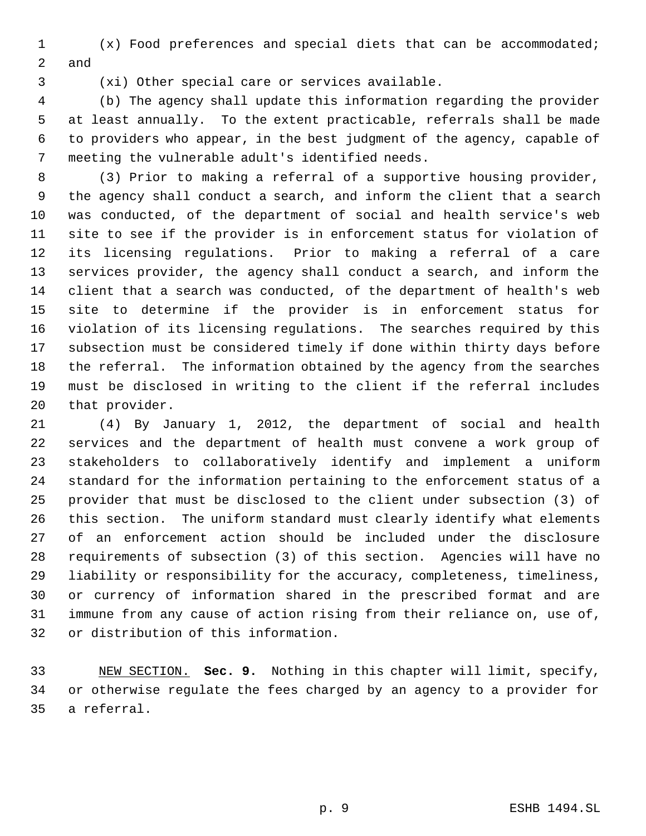(x) Food preferences and special diets that can be accommodated; and

(xi) Other special care or services available.

 (b) The agency shall update this information regarding the provider at least annually. To the extent practicable, referrals shall be made to providers who appear, in the best judgment of the agency, capable of meeting the vulnerable adult's identified needs.

 (3) Prior to making a referral of a supportive housing provider, the agency shall conduct a search, and inform the client that a search was conducted, of the department of social and health service's web site to see if the provider is in enforcement status for violation of its licensing regulations. Prior to making a referral of a care services provider, the agency shall conduct a search, and inform the client that a search was conducted, of the department of health's web site to determine if the provider is in enforcement status for violation of its licensing regulations. The searches required by this subsection must be considered timely if done within thirty days before the referral. The information obtained by the agency from the searches must be disclosed in writing to the client if the referral includes that provider.

 (4) By January 1, 2012, the department of social and health services and the department of health must convene a work group of stakeholders to collaboratively identify and implement a uniform standard for the information pertaining to the enforcement status of a provider that must be disclosed to the client under subsection (3) of this section. The uniform standard must clearly identify what elements of an enforcement action should be included under the disclosure requirements of subsection (3) of this section. Agencies will have no liability or responsibility for the accuracy, completeness, timeliness, or currency of information shared in the prescribed format and are immune from any cause of action rising from their reliance on, use of, or distribution of this information.

 NEW SECTION. **Sec. 9.** Nothing in this chapter will limit, specify, or otherwise regulate the fees charged by an agency to a provider for a referral.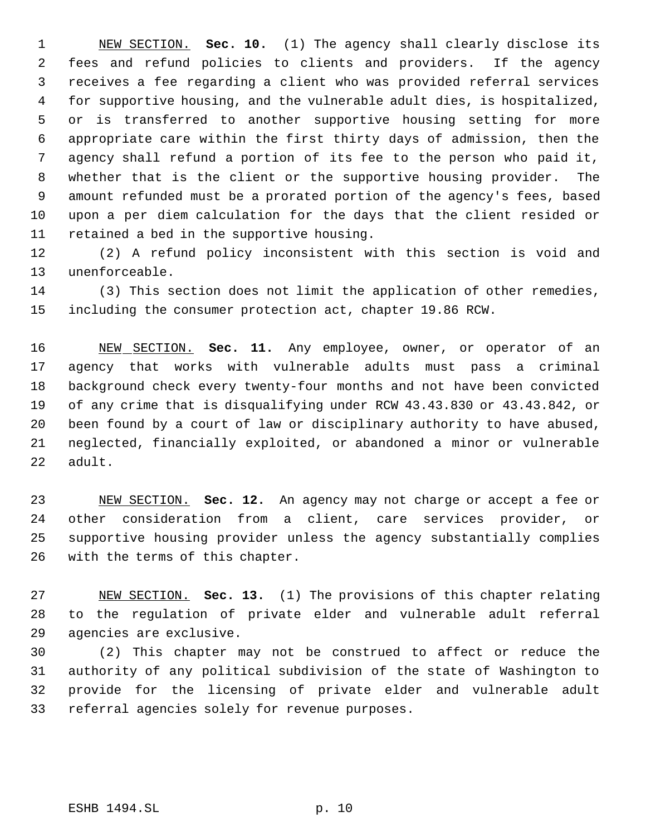NEW SECTION. **Sec. 10.** (1) The agency shall clearly disclose its fees and refund policies to clients and providers. If the agency receives a fee regarding a client who was provided referral services for supportive housing, and the vulnerable adult dies, is hospitalized, or is transferred to another supportive housing setting for more appropriate care within the first thirty days of admission, then the agency shall refund a portion of its fee to the person who paid it, whether that is the client or the supportive housing provider. The amount refunded must be a prorated portion of the agency's fees, based upon a per diem calculation for the days that the client resided or retained a bed in the supportive housing.

 (2) A refund policy inconsistent with this section is void and unenforceable.

 (3) This section does not limit the application of other remedies, including the consumer protection act, chapter 19.86 RCW.

 NEW SECTION. **Sec. 11.** Any employee, owner, or operator of an agency that works with vulnerable adults must pass a criminal background check every twenty-four months and not have been convicted of any crime that is disqualifying under RCW 43.43.830 or 43.43.842, or been found by a court of law or disciplinary authority to have abused, neglected, financially exploited, or abandoned a minor or vulnerable adult.

 NEW SECTION. **Sec. 12.** An agency may not charge or accept a fee or other consideration from a client, care services provider, or supportive housing provider unless the agency substantially complies with the terms of this chapter.

 NEW SECTION. **Sec. 13.** (1) The provisions of this chapter relating to the regulation of private elder and vulnerable adult referral agencies are exclusive.

 (2) This chapter may not be construed to affect or reduce the authority of any political subdivision of the state of Washington to provide for the licensing of private elder and vulnerable adult referral agencies solely for revenue purposes.